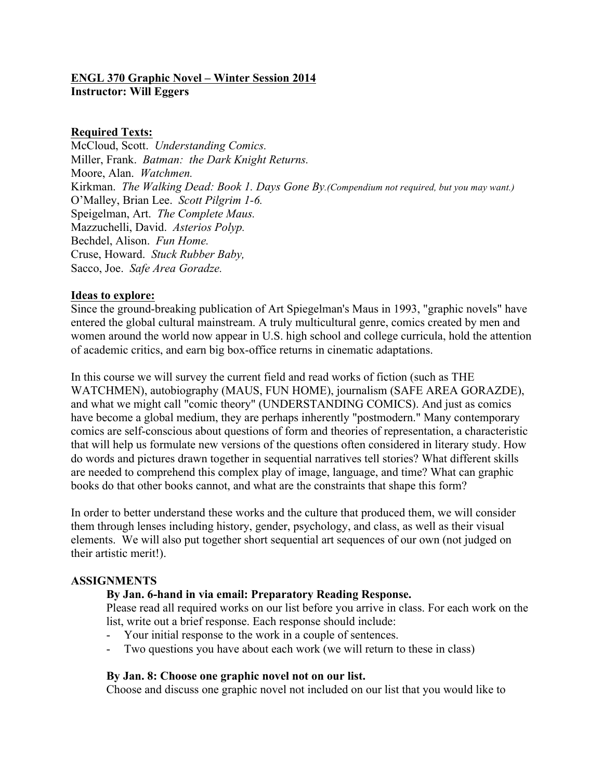# **ENGL 370 Graphic Novel – Winter Session 2014 Instructor: Will Eggers**

#### **Required Texts:**

McCloud, Scott. *Understanding Comics.* Miller, Frank. *Batman: the Dark Knight Returns.*  Moore, Alan. *Watchmen.* Kirkman. *The Walking Dead: Book 1. Days Gone By.(Compendium not required, but you may want.)* O'Malley, Brian Lee. *Scott Pilgrim 1-6.* Speigelman, Art. *The Complete Maus.* Mazzuchelli, David. *Asterios Polyp.* Bechdel, Alison. *Fun Home.* Cruse, Howard. *Stuck Rubber Baby,* Sacco, Joe. *Safe Area Goradze.*

#### **Ideas to explore:**

Since the ground-breaking publication of Art Spiegelman's Maus in 1993, "graphic novels" have entered the global cultural mainstream. A truly multicultural genre, comics created by men and women around the world now appear in U.S. high school and college curricula, hold the attention of academic critics, and earn big box-office returns in cinematic adaptations.

In this course we will survey the current field and read works of fiction (such as THE WATCHMEN), autobiography (MAUS, FUN HOME), journalism (SAFE AREA GORAZDE), and what we might call "comic theory" (UNDERSTANDING COMICS). And just as comics have become a global medium, they are perhaps inherently "postmodern." Many contemporary comics are self-conscious about questions of form and theories of representation, a characteristic that will help us formulate new versions of the questions often considered in literary study. How do words and pictures drawn together in sequential narratives tell stories? What different skills are needed to comprehend this complex play of image, language, and time? What can graphic books do that other books cannot, and what are the constraints that shape this form?

In order to better understand these works and the culture that produced them, we will consider them through lenses including history, gender, psychology, and class, as well as their visual elements. We will also put together short sequential art sequences of our own (not judged on their artistic merit!).

# **ASSIGNMENTS**

# **By Jan. 6-hand in via email: Preparatory Reading Response.**

Please read all required works on our list before you arrive in class. For each work on the list, write out a brief response. Each response should include:

- Your initial response to the work in a couple of sentences.
- Two questions you have about each work (we will return to these in class)

# **By Jan. 8: Choose one graphic novel not on our list.**

Choose and discuss one graphic novel not included on our list that you would like to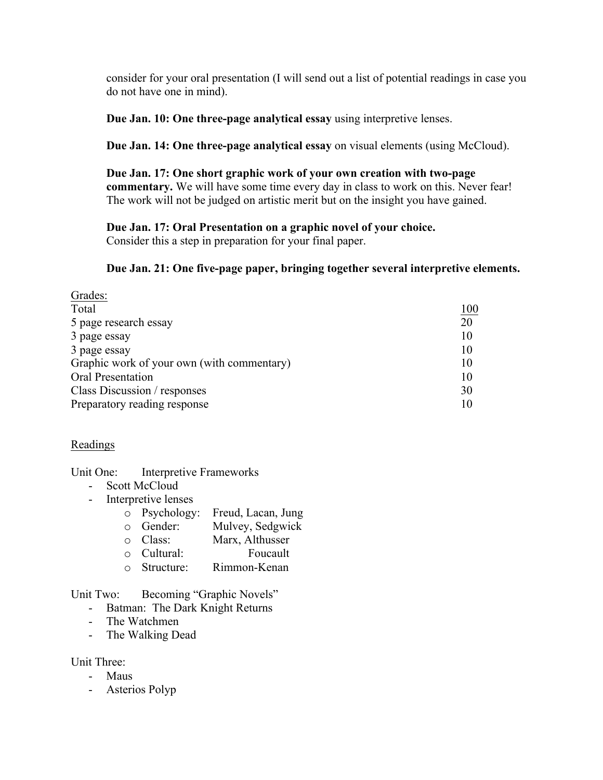consider for your oral presentation (I will send out a list of potential readings in case you do not have one in mind).

**Due Jan. 10: One three-page analytical essay** using interpretive lenses.

**Due Jan. 14: One three-page analytical essay** on visual elements (using McCloud).

**Due Jan. 17: One short graphic work of your own creation with two-page commentary.** We will have some time every day in class to work on this. Never fear! The work will not be judged on artistic merit but on the insight you have gained.

#### **Due Jan. 17: Oral Presentation on a graphic novel of your choice.**

Consider this a step in preparation for your final paper.

# **Due Jan. 21: One five-page paper, bringing together several interpretive elements.**

| Grades:                                    |     |
|--------------------------------------------|-----|
| Total                                      | 100 |
| 5 page research essay                      | 20  |
| 3 page essay                               | 10  |
| 3 page essay                               | 10  |
| Graphic work of your own (with commentary) | 10  |
| <b>Oral Presentation</b>                   | 10  |
| Class Discussion / responses               | 30  |
| Preparatory reading response               | 10  |

# Readings

Unit One: Interpretive Frameworks

- Scott McCloud
- Interpretive lenses
	- o Psychology: Freud, Lacan, Jung
	- o Gender: Mulvey, Sedgwick
	- o Class: Marx, Althusser
	- o Cultural: Foucault
	- o Structure: Rimmon-Kenan

Unit Two: Becoming "Graphic Novels"

- Batman: The Dark Knight Returns
- The Watchmen
- The Walking Dead

Unit Three:

- Maus
- Asterios Polyp